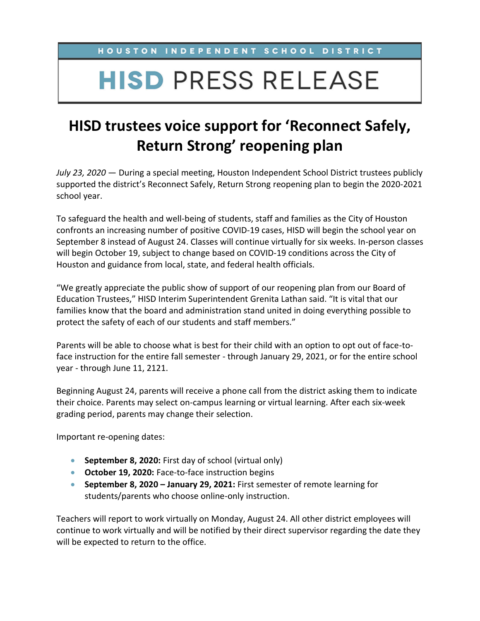HOUSTON INDEPENDENT SCHOOL DISTRICT

## **HISD PRESS RELEASE**

## **HISD trustees voice support for 'Reconnect Safely, Return Strong' reopening plan**

*July 23, 2020* — During a special meeting, Houston Independent School District trustees publicly supported the district's Reconnect Safely, Return Strong reopening plan to begin the 2020-2021 school year.

To safeguard the health and well-being of students, staff and families as the City of Houston confronts an increasing number of positive COVID-19 cases, HISD will begin the school year on September 8 instead of August 24. Classes will continue virtually for six weeks. In-person classes will begin October 19, subject to change based on COVID-19 conditions across the City of Houston and guidance from local, state, and federal health officials.

"We greatly appreciate the public show of support of our reopening plan from our Board of Education Trustees," HISD Interim Superintendent Grenita Lathan said. "It is vital that our families know that the board and administration stand united in doing everything possible to protect the safety of each of our students and staff members."

Parents will be able to choose what is best for their child with an option to opt out of face-toface instruction for the entire fall semester - through January 29, 2021, or for the entire school year - through June 11, 2121.

Beginning August 24, parents will receive a phone call from the district asking them to indicate their choice. Parents may select on-campus learning or virtual learning. After each six-week grading period, parents may change their selection.

Important re-opening dates:

- **September 8, 2020:** First day of school (virtual only)
- **October 19, 2020:** Face-to-face instruction begins
- **September 8, 2020 – January 29, 2021:** First semester of remote learning for students/parents who choose online-only instruction.

Teachers will report to work virtually on Monday, August 24. All other district employees will continue to work virtually and will be notified by their direct supervisor regarding the date they will be expected to return to the office.